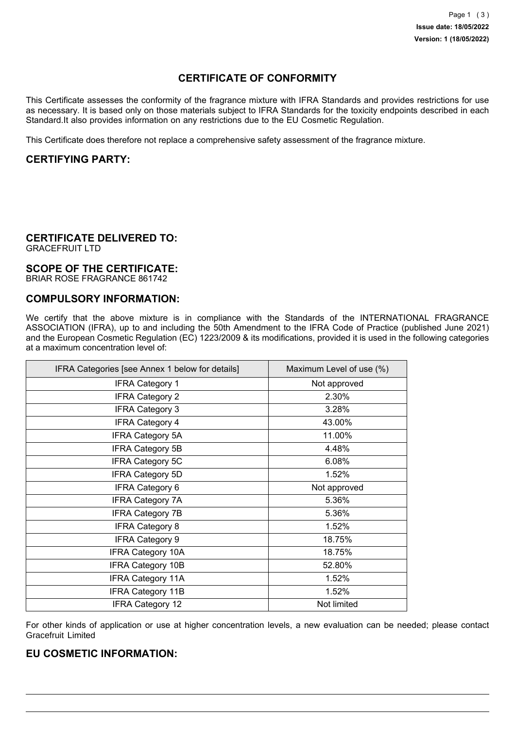# **CERTIFICATE OF CONFORMITY**

This Certificate assesses the conformity of the fragrance mixture with IFRA Standards and provides restrictions for use as necessary. It is based only on those materials subject to IFRA Standards for the toxicity endpoints described in each Standard.It also provides information on any restrictions due to the EU Cosmetic Regulation.

This Certificate does therefore not replace a comprehensive safety assessment of the fragrance mixture.

## **CERTIFYING PARTY:**

## **CERTIFICATE DELIVERED TO:**

GRACEFRUIT LTD

#### **SCOPE OF THE CERTIFICATE:**

BRIAR ROSE FRAGRANCE 861742

### **COMPULSORY INFORMATION:**

We certify that the above mixture is in compliance with the Standards of the INTERNATIONAL FRAGRANCE ASSOCIATION (IFRA), up to and including the 50th Amendment to the IFRA Code of Practice (published June 2021) and the European Cosmetic Regulation (EC) 1223/2009 & its modifications, provided it is used in the following categories at a maximum concentration level of:

| IFRA Categories [see Annex 1 below for details] | Maximum Level of use (%) |
|-------------------------------------------------|--------------------------|
| <b>IFRA Category 1</b>                          | Not approved             |
| <b>IFRA Category 2</b>                          | 2.30%                    |
| <b>IFRA Category 3</b>                          | 3.28%                    |
| <b>IFRA Category 4</b>                          | 43.00%                   |
| <b>IFRA Category 5A</b>                         | 11.00%                   |
| <b>IFRA Category 5B</b>                         | 4.48%                    |
| <b>IFRA Category 5C</b>                         | 6.08%                    |
| <b>IFRA Category 5D</b>                         | 1.52%                    |
| <b>IFRA Category 6</b>                          | Not approved             |
| <b>IFRA Category 7A</b>                         | 5.36%                    |
| <b>IFRA Category 7B</b>                         | 5.36%                    |
| <b>IFRA Category 8</b>                          | 1.52%                    |
| <b>IFRA Category 9</b>                          | 18.75%                   |
| <b>IFRA Category 10A</b>                        | 18.75%                   |
| <b>IFRA Category 10B</b>                        | 52.80%                   |
| <b>IFRA Category 11A</b>                        | 1.52%                    |
| <b>IFRA Category 11B</b>                        | 1.52%                    |
| <b>IFRA Category 12</b>                         | Not limited              |

For other kinds of application or use at higher concentration levels, a new evaluation can be needed; please contact Gracefruit Limited

#### **EU COSMETIC INFORMATION:**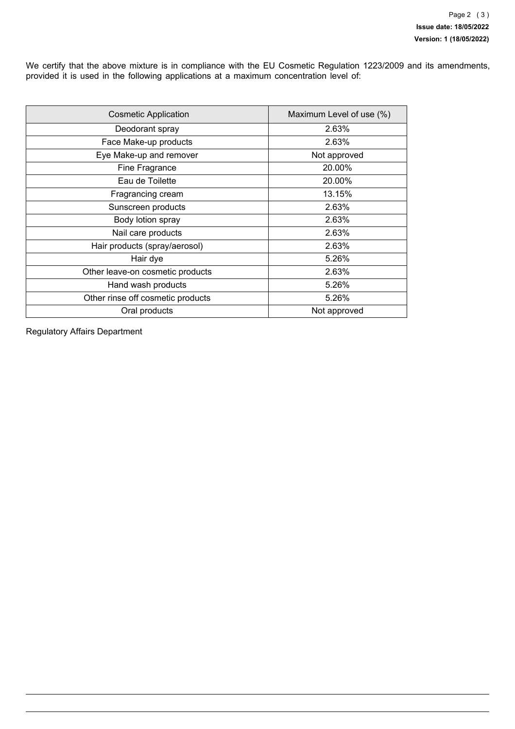We certify that the above mixture is in compliance with the EU Cosmetic Regulation 1223/2009 and its amendments, provided it is used in the following applications at a maximum concentration level of:

| <b>Cosmetic Application</b>       | Maximum Level of use (%) |  |
|-----------------------------------|--------------------------|--|
| Deodorant spray                   | 2.63%                    |  |
| Face Make-up products             | 2.63%                    |  |
| Eye Make-up and remover           | Not approved             |  |
| Fine Fragrance                    | 20.00%                   |  |
| Eau de Toilette                   | 20.00%                   |  |
| Fragrancing cream                 | 13.15%                   |  |
| Sunscreen products                | 2.63%                    |  |
| Body lotion spray                 | 2.63%                    |  |
| Nail care products                | 2.63%                    |  |
| Hair products (spray/aerosol)     | 2.63%                    |  |
| Hair dye                          | 5.26%                    |  |
| Other leave-on cosmetic products  | 2.63%                    |  |
| Hand wash products                | 5.26%                    |  |
| Other rinse off cosmetic products | 5.26%                    |  |
| Oral products                     | Not approved             |  |

Regulatory Affairs Department